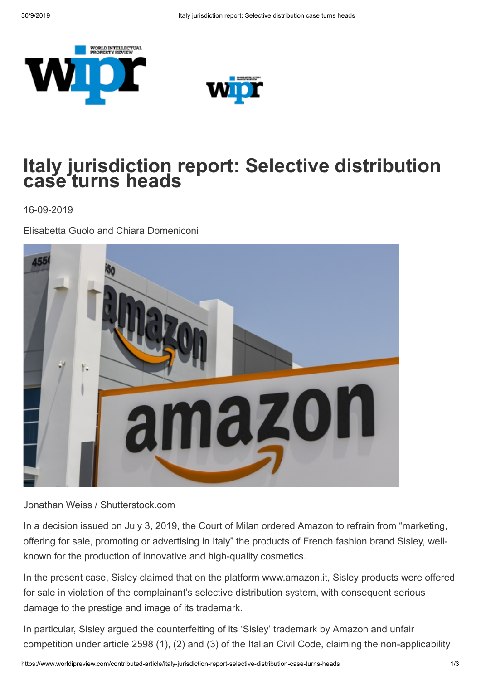



## **Italy jurisdiction report: Selective distribution case turns heads**

16-09-2019

Elisabetta Guolo and Chiara Domeniconi



Jonathan Weiss / Shutterstock.com

In a decision issued on July 3, 2019, the Court of Milan ordered Amazon to refrain from "marketing, offering for sale, promoting or advertising in Italy" the products of French fashion brand Sisley, wellknown for the production of innovative and high-quality cosmetics.

In the present case, Sisley claimed that on the platform www.amazon.it, Sisley products were offered for sale in violation of the complainant's selective distribution system, with consequent serious damage to the prestige and image of its trademark.

In particular, Sisley argued the counterfeiting of its 'Sisley' trademark by Amazon and unfair competition under article 2598 (1), (2) and (3) of the Italian Civil Code, claiming the non-applicability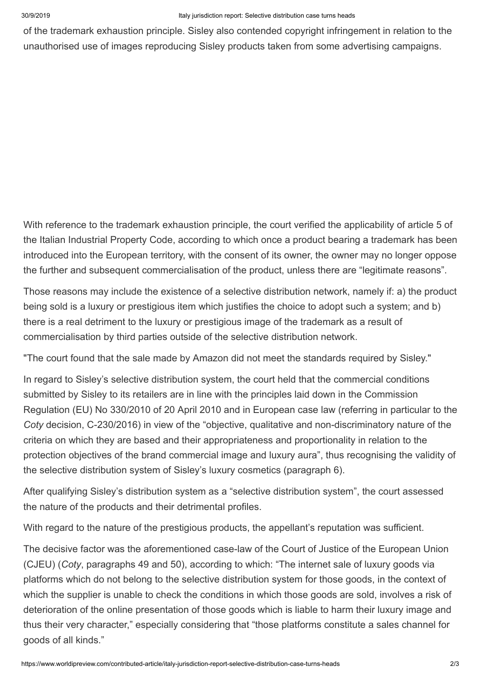of the trademark exhaustion principle. Sisley also contended copyright infringement in relation to the unauthorised use of images reproducing Sisley products taken from some advertising campaigns.

With reference to the trademark exhaustion principle, the court verified the applicability of article 5 of the Italian Industrial Property Code, according to which once a product bearing a trademark has been introduced into the European territory, with the consent of its owner, the owner may no longer oppose the further and subsequent commercialisation of the product, unless there are "legitimate reasons".

Those reasons may include the existence of a selective distribution network, namely if: a) the product being sold is a luxury or prestigious item which justifies the choice to adopt such a system; and b) there is a real detriment to the luxury or prestigious image of the trademark as a result of commercialisation by third parties outside of the selective distribution network.

"The court found that the sale made by Amazon did not meet the standards required by Sisley."

In regard to Sisley's selective distribution system, the court held that the commercial conditions submitted by Sisley to its retailers are in line with the principles laid down in the Commission Regulation (EU) No 330/2010 of 20 April 2010 and in European case law (referring in particular to the *Coty* decision, C-230/2016) in view of the "objective, qualitative and non-discriminatory nature of the criteria on which they are based and their appropriateness and proportionality in relation to the protection objectives of the brand commercial image and luxury aura", thus recognising the validity of the selective distribution system of Sisley's luxury cosmetics (paragraph 6).

After qualifying Sisley's distribution system as a "selective distribution system", the court assessed the nature of the products and their detrimental profiles.

With regard to the nature of the prestigious products, the appellant's reputation was sufficient.

The decisive factor was the aforementioned case-law of the Court of Justice of the European Union (CJEU) (*Coty*, paragraphs 49 and 50), according to which: "The internet sale of luxury goods via platforms which do not belong to the selective distribution system for those goods, in the context of which the supplier is unable to check the conditions in which those goods are sold, involves a risk of deterioration of the online presentation of those goods which is liable to harm their luxury image and thus their very character," especially considering that "those platforms constitute a sales channel for goods of all kinds."